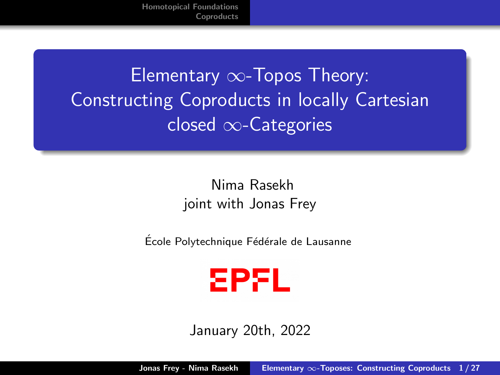# <span id="page-0-0"></span>Elementary ∞-Topos Theory: Constructing Coproducts in locally Cartesian closed ∞-Categories

#### Nima Rasekh joint with Jonas Frey

École Polytechnique Fédérale de Lausanne



January 20th, 2022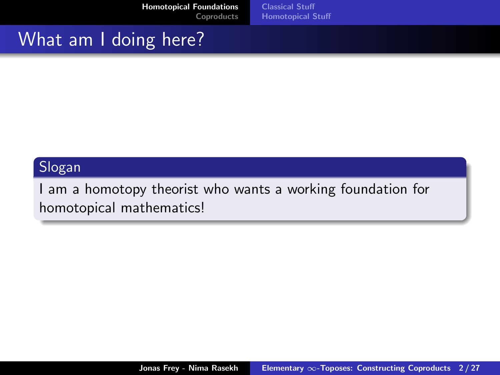[Homotopical Foundations](#page-1-0) [Coproducts](#page-8-0) [Classical Stuff](#page-2-0) [Homotopical Stuff](#page-4-0)

## <span id="page-1-0"></span>What am I doing here?

#### Slogan

I am a homotopy theorist who wants a working foundation for homotopical mathematics!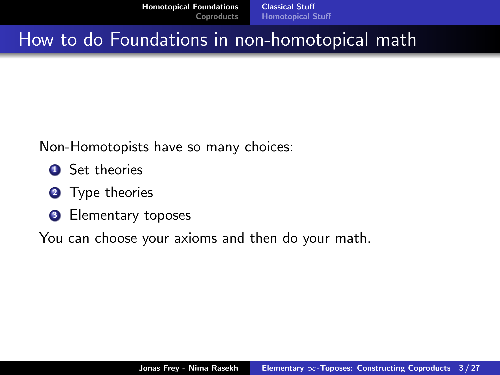[Homotopical Foundations](#page-1-0) [Coproducts](#page-8-0) [Classical Stuff](#page-2-0) [Homotopical Stuff](#page-4-0)

#### <span id="page-2-0"></span>How to do Foundations in non-homotopical math

Non-Homotopists have so many choices:

- **4** Set theories
- **2** Type theories
- **3** Elementary toposes

You can choose your axioms and then do your math.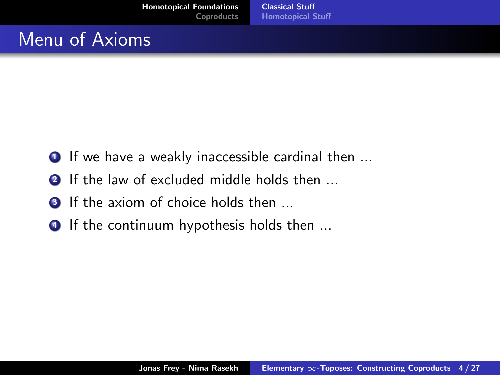# Menu of Axioms

- $\bullet$  If we have a weakly inaccessible cardinal then  $\ldots$
- **2** If the law of excluded middle holds then ...
- **3** If the axiom of choice holds then ...
- **4** If the continuum hypothesis holds then ...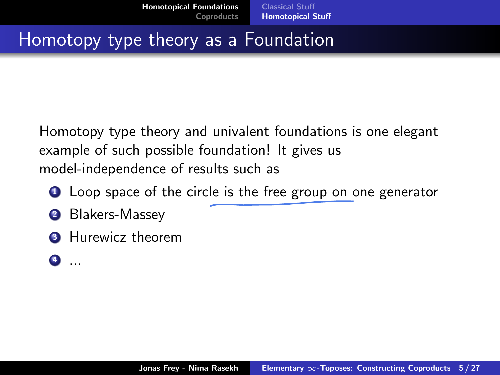# <span id="page-4-0"></span>Homotopy type theory as a Foundation

Homotopy type theory and univalent foundations is one elegant example of such possible foundation! It gives us model-independence of results such as

- **1** Loop space of the circle is the free group on one generator
- 2 Blakers-Massey
- **3** Hurewicz theorem
- $\bullet$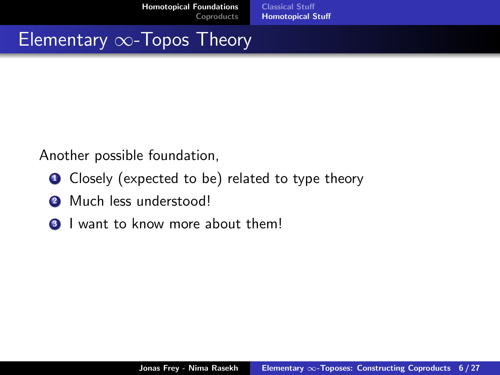[Homotopical Foundations](#page-1-0) [Coproducts](#page-8-0) [Classical Stuff](#page-2-0) [Homotopical Stuff](#page-4-0)

# Elementary ∞-Topos Theory

Another possible foundation,

- **1** Closely (expected to be) related to type theory
- **2** Much less understood!
- **3** I want to know more about them!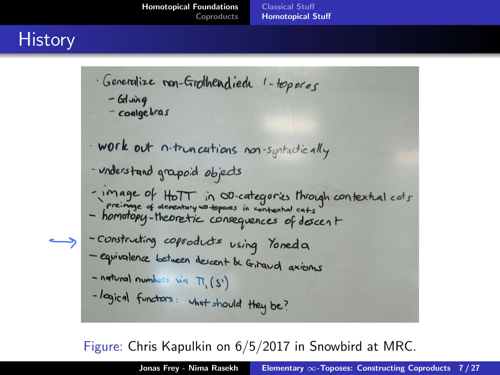# **History**

· Generalize mon-Grothendiede 1-toposes  $-$  Glung - coalgebras · work out n-truncations non-syntactically - understand grapoid objects -image of HoTT in OD-categories through contextual cats<br>preimage of dementary so toposes in contextual cats<br>- homotopy-theoretic consequences of doscent - construting coproducts using Yoreda - equivalence between descent & Griraud axioms - natural numbers via M. (S') -logical functors: what should they be?

Figure: Chris Kapulkin on 6/5/2017 in Snowbird at MRC.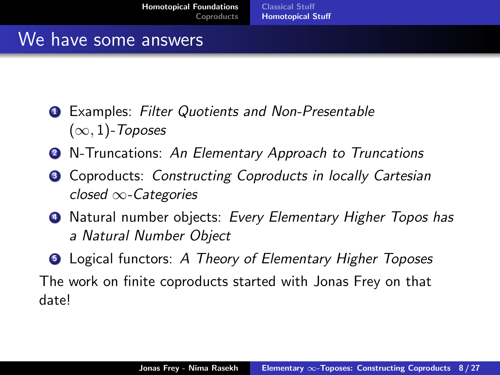#### We have some answers

- **1** Examples: Filter Quotients and Non-Presentable  $(\infty, 1)$ -Toposes
- **2** N-Truncations: An Elementary Approach to Truncations
- Coproducts: Constructing Coproducts in locally Cartesian closed ∞-Categories
- **4** Natural number objects: Every Elementary Higher Topos has a Natural Number Object
- **Logical functors:** A Theory of Elementary Higher Toposes The work on finite coproducts started with Jonas Frey on that date!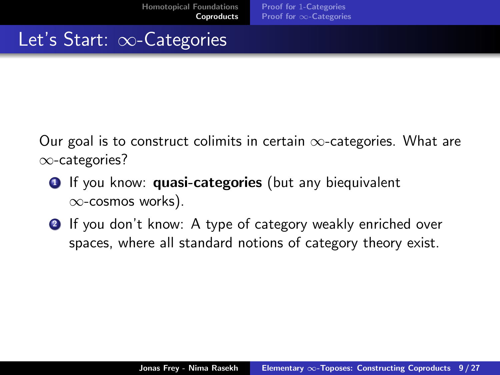# <span id="page-8-0"></span>Let's Start: ∞-Categories

Our goal is to construct colimits in certain  $\infty$ -categories. What are ∞-categories?

- **1** If you know: **quasi-categories** (but any biequivalent ∞-cosmos works).
- **2** If you don't know: A type of category weakly enriched over spaces, where all standard notions of category theory exist.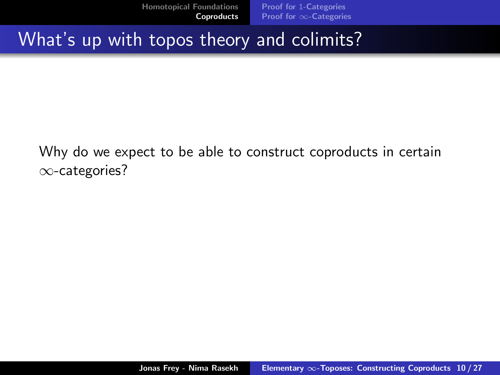[Homotopical Foundations](#page-1-0) [Coproducts](#page-8-0) Proof for 1[-Categories](#page-15-0) Proof for ∞[-Categories](#page-18-0)

#### What's up with topos theory and colimits?

Why do we expect to be able to construct coproducts in certain ∞-categories?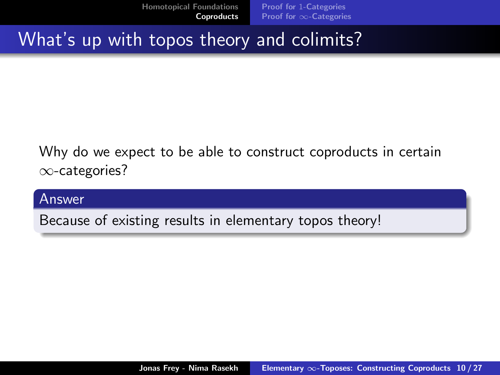[Homotopical Foundations](#page-1-0) [Coproducts](#page-8-0) Proof for 1[-Categories](#page-15-0) Proof for ∞[-Categories](#page-18-0)

## What's up with topos theory and colimits?

Why do we expect to be able to construct coproducts in certain ∞-categories?

#### Answer

Because of existing results in elementary topos theory!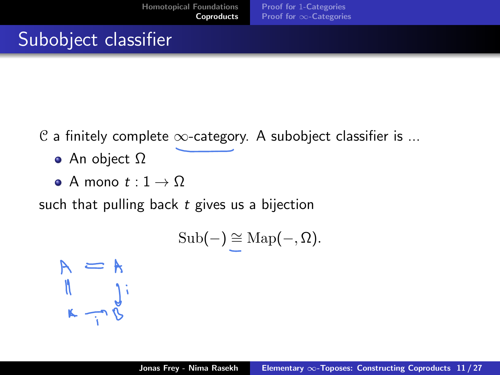# Subobject classifier

- $\mathcal C$  a finitely complete  $\infty$ -category. A subobject classifier is ...
	- An object Ω
	- A mono  $t:1\to\Omega$

such that pulling back  $t$  gives us a bijection

$$
\mathrm{Sub}(-) \cong \mathrm{Map}(-,\Omega).
$$

 $M = \begin{cases} \n\frac{1}{\sqrt{2}} & \text{if } \lambda = \frac{1}{\sqrt{2}}\\ \n\frac{1}{\sqrt{2}} & \text{if } \lambda = \frac{1}{\sqrt{2}} \end{cases}$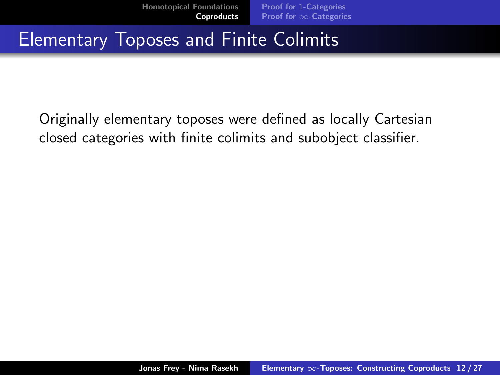## Elementary Toposes and Finite Colimits

Originally elementary toposes were defined as locally Cartesian closed categories with finite colimits and subobject classifier.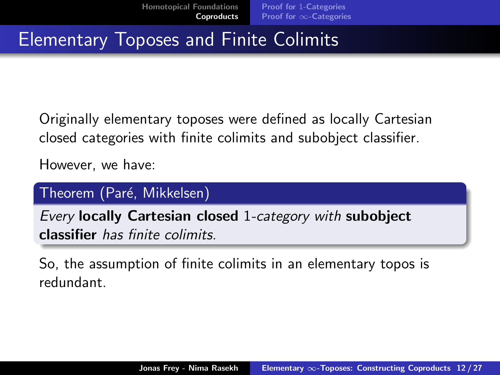# Elementary Toposes and Finite Colimits

Originally elementary toposes were defined as locally Cartesian closed categories with finite colimits and subobject classifier.

However, we have:

#### Theorem (Paré, Mikkelsen)

Every locally Cartesian closed 1-category with subobject classifier has finite colimits.

So, the assumption of finite colimits in an elementary topos is redundant.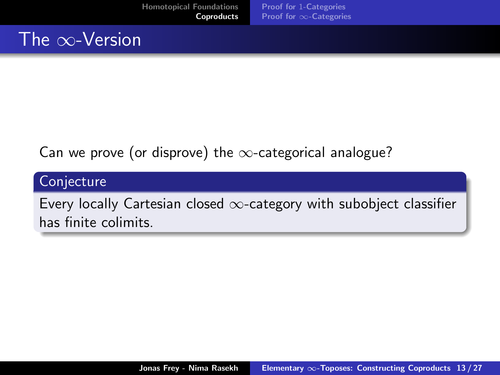## The ∞-Version

#### Can we prove (or disprove) the  $\infty$ -categorical analogue?

#### **Conjecture**

Every locally Cartesian closed  $\infty$ -category with subobject classifier has finite colimits.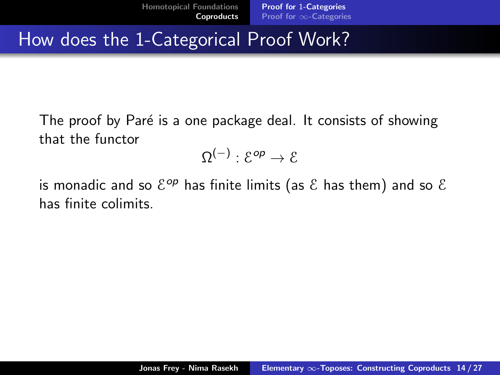#### <span id="page-15-0"></span>How does the 1-Categorical Proof Work?

The proof by Paré is a one package deal. It consists of showing that the functor

 $\Omega^{(-)}: \mathcal{E}^{\mathsf{op}} \to \mathcal{E}$ 

is monadic and so  $\mathcal{E}^{op}$  has finite limits (as  $\mathcal E$  has them) and so  $\mathcal E$ has finite colimits.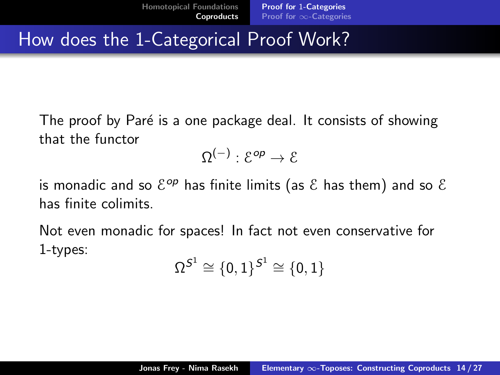## <span id="page-16-0"></span>How does the 1-Categorical Proof Work?

The proof by Paré is a one package deal. It consists of showing that the functor

$$
\Omega^{(-)}: \mathcal{E}^{op} \to \mathcal{E}
$$

is monadic and so  $\mathcal{E}^{op}$  has finite limits (as  $\mathcal E$  has them) and so  $\mathcal E$ has finite colimits.

Not even monadic for spaces! In fact not even conservative for 1-types:

$$
\Omega^{\mathcal{S}^1}\cong\{0,1\}^{\mathcal{S}^1}\cong\{0,1\}
$$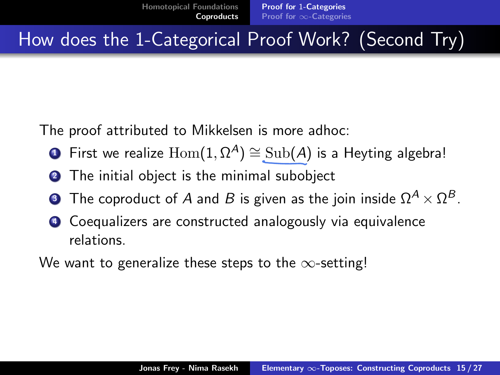How does the 1-Categorical Proof Work? (Second Try)

The proof attributed to Mikkelsen is more adhoc:

- $\textcolor{blue} \bullet$  First we realize  $\text{Hom}(1,\Omega^A)\cong \text{Sub}(A)$  is a Heyting algebra!
- **2** The initial object is the minimal subobject
- $\bullet$  The coproduct of  $A$  and  $B$  is given as the join inside  $\Omega^A \times \Omega^B.$
- <sup>4</sup> Coequalizers are constructed analogously via equivalence relations.

We want to generalize these steps to the  $\infty$ -setting!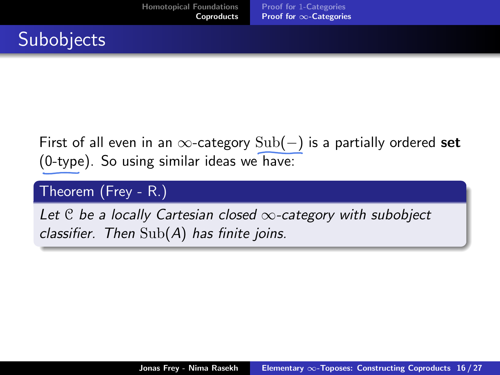## <span id="page-18-0"></span>**Subobjects**

#### First of all even in an  $\infty$ -category  $Sub(-)$  is a partially ordered set (0-type). So using similar ideas we have:

#### Theorem (Frey - R.)

Let  $C$  be a locally Cartesian closed  $\infty$ -category with subobject classifier. Then  $\text{Sub}(A)$  has finite joins.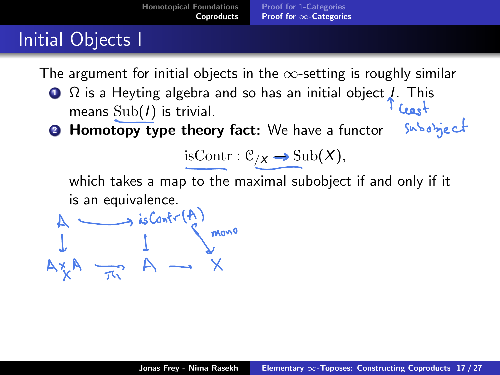# Initial Objects I

The argument for initial objects in the  $\infty$ -setting is roughly similar

- $\Omega$  is a Heyting algebra and so has an initial object *I*. This means  $\text{Sub}(I)$  is trivial. subobject
- **2 Homotopy type theory fact:** We have a functor

isContr :  $\mathcal{C}_{/X}$  → Sub(X),

which takes a map to the maximal subobject if and only if it is an equivalence.

$$
A \longrightarrow isContr(A)
$$
  
\n $\downarrow$   $\downarrow$   
\n $\downarrow$   $\downarrow$   
\n $\downarrow$   $\downarrow$   
\n $\downarrow$   $\downarrow$   
\n $\downarrow$   $\downarrow$   
\n $\downarrow$   $\downarrow$   
\n $\downarrow$   $\downarrow$   
\n $\downarrow$   $\downarrow$   
\n $\downarrow$   $\downarrow$   
\n $\downarrow$   $\downarrow$   
\n $\downarrow$   $\downarrow$   
\n $\downarrow$   $\downarrow$   
\n $\downarrow$   $\downarrow$   $\downarrow$   
\n $\downarrow$   $\downarrow$   $\downarrow$   
\n $\downarrow$   $\downarrow$   $\downarrow$   $\downarrow$   $\downarrow$   $\downarrow$   $\downarrow$   $\downarrow$   $\downarrow$   $\downarrow$   $\downarrow$   $\downarrow$   $\downarrow$   $\downarrow$   $\downarrow$   $\downarrow$   $\downarrow$   $\downarrow$   $\downarrow$   $\downarrow$   $\downarrow$   $\downarrow$   $\downarrow$   $\downarrow$   $\downarrow$   $\downarrow$   $\downarrow$   $\downarrow$   $\downarrow$   $\downarrow$   $\downarrow$   $\downarrow$   $\downarrow$   $\downarrow$   $\downarrow$   $\downarrow$   $\downarrow$   $\downarrow$   $\downarrow$   $\downarrow$   $\downarrow$   $\downarrow$   $\downarrow$   $\downarrow$   $\downarrow$   $\downarrow$   $\downarrow$   $\downarrow$   $\downarrow$   $\downarrow$   $\downarrow$   $\downarrow$   $\downarrow$   $\downarrow$   $\downarrow$   $\downarrow$   $\downarrow$   $\downarrow$   $\downarrow$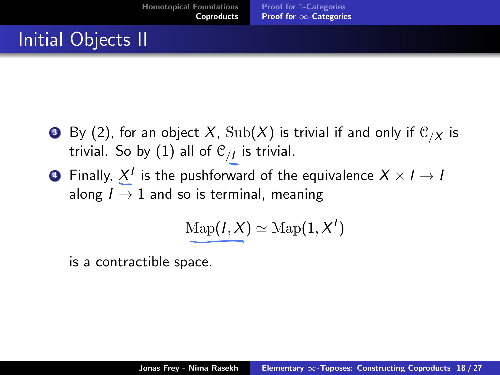# Initial Objects II

- $\bullet$  By (2), for an object X,  $\text{Sub}(X)$  is trivial if and only if  $\mathcal{C}_{/X}$  is trivial. So by  $(1)$  all of  ${\mathfrak C}_{/I}$  is trivial.
- $\bullet$  Finally,  $X^I$  is the pushforward of the equivalence  $X \times I \to I$ along  $I \rightarrow 1$  and so is terminal, meaning

$$
\mathrm{Map}(I,X)\simeq \mathrm{Map}(1,X')
$$

is a contractible space.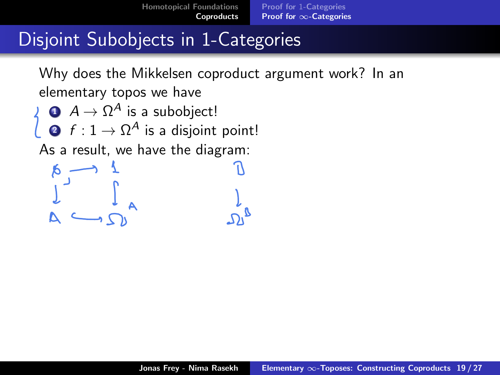[Homotopical Foundations](#page-1-0) [Coproducts](#page-8-0) Proof for 1[-Categories](#page-15-0) Proof for ∞[-Categories](#page-18-0)

#### Disjoint Subobjects in 1-Categories

Why does the Mikkelsen coproduct argument work? In an elementary topos we have

$$
\begin{array}{ll}\n\bigcirc & A \to \Omega^A \text{ is a subobject!} \\
\bigcirc & f : 1 \to \Omega^A \text{ is a disjoint point!}\n\end{array}
$$

As a result, we have the diagram:

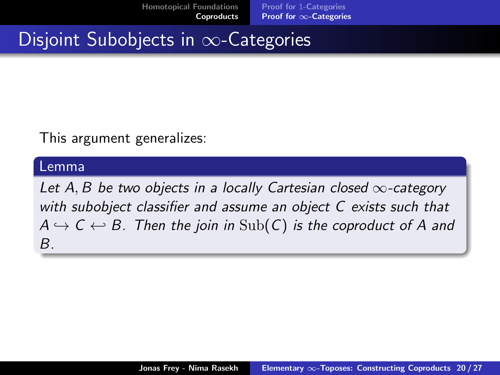[Homotopical Foundations](#page-1-0) [Coproducts](#page-8-0) Proof for 1[-Categories](#page-15-0) Proof for ∞[-Categories](#page-18-0)

Disjoint Subobjects in ∞-Categories

This argument generalizes:

#### Lemma

Let A, B be two objects in a locally Cartesian closed  $\infty$ -category with subobject classifier and assume an object C exists such that  $A \hookrightarrow C \leftrightarrow B$ . Then the join in  $\text{Sub}(C)$  is the coproduct of A and B.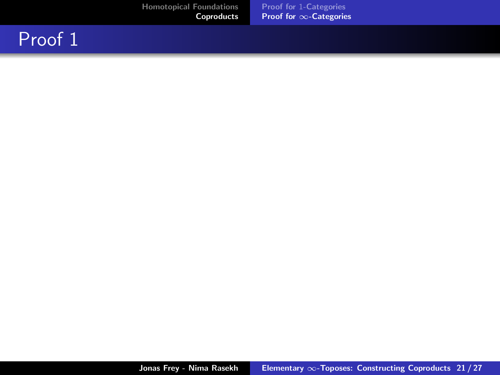#### Proof 1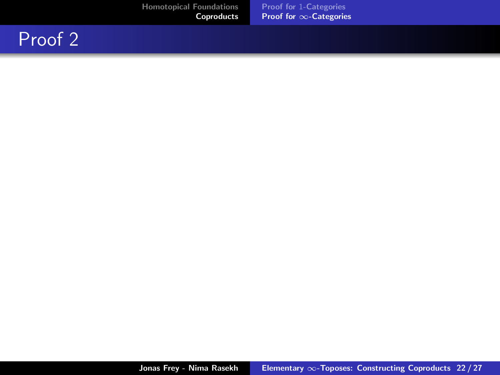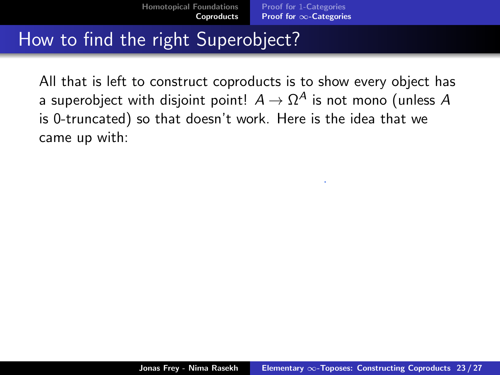## How to find the right Superobject?

All that is left to construct coproducts is to show every object has a superobject with disjoint point!  $A \to \Omega^A$  is not mono (unless  $A$ is 0-truncated) so that doesn't work. Here is the idea that we came up with: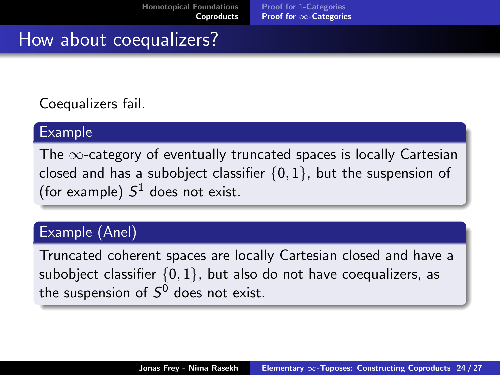#### How about coequalizers?

Coequalizers fail.

#### Example

The  $\infty$ -category of eventually truncated spaces is locally Cartesian closed and has a subobject classifier  $\{0, 1\}$ , but the suspension of (for example)  $S^1$  does not exist.

#### Example (Anel)

Truncated coherent spaces are locally Cartesian closed and have a subobject classifier  $\{0, 1\}$ , but also do not have coequalizers, as the suspension of  $\mathcal{S}^0$  does not exist.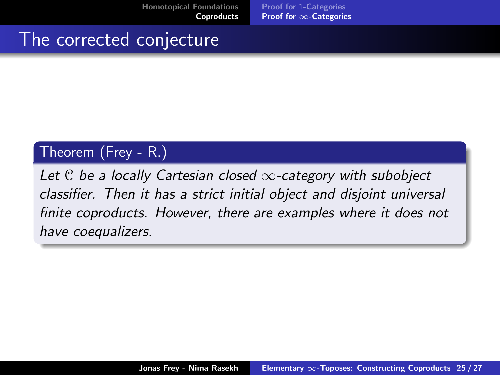[Homotopical Foundations](#page-1-0) [Coproducts](#page-8-0)

Proof for 1[-Categories](#page-15-0) Proof for ∞[-Categories](#page-18-0)

#### The corrected conjecture

#### Theorem (Frey - R.)

Let  $C$  be a locally Cartesian closed  $\infty$ -category with subobject classifier. Then it has a strict initial object and disjoint universal finite coproducts. However, there are examples where it does not have coequalizers.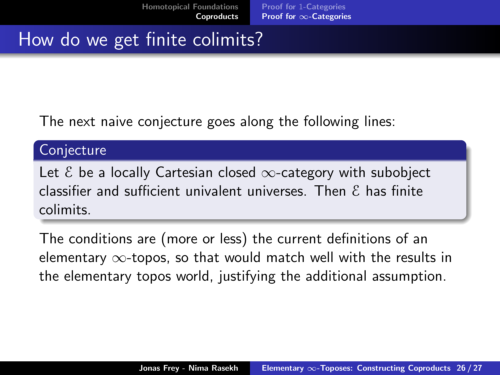## How do we get finite colimits?

The next naive conjecture goes along the following lines:

#### **Conjecture**

Let  $\epsilon$  be a locally Cartesian closed  $\infty$ -category with subobiect classifier and sufficient univalent universes. Then  $\epsilon$  has finite colimits.

The conditions are (more or less) the current definitions of an elementary  $\infty$ -topos, so that would match well with the results in the elementary topos world, justifying the additional assumption.